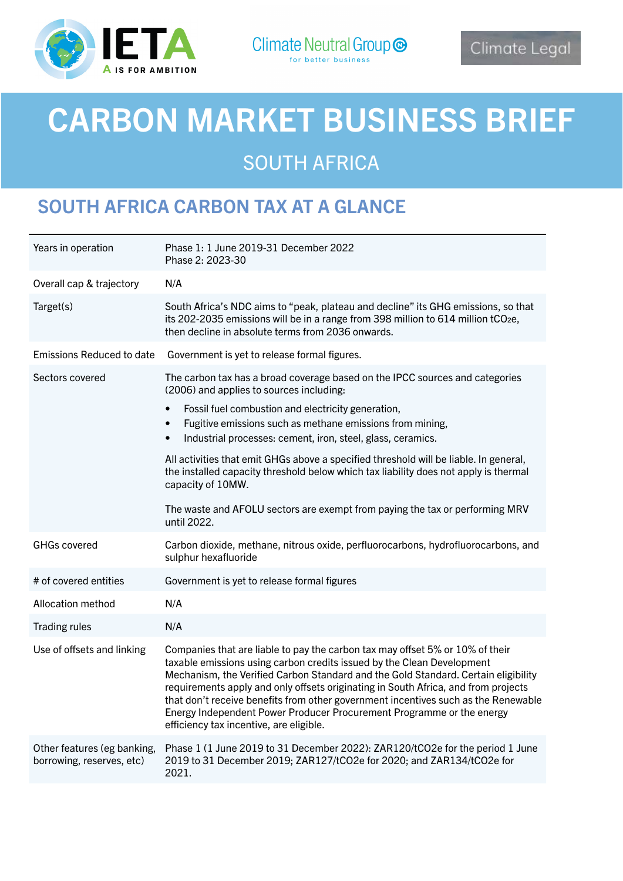

# CARBON MARKET BUSINESS BRIEF

# SOUTH AFRICA

### SOUTH AFRICA CARBON TAX AT A GLANCE

| Years in operation                                       | Phase 1: 1 June 2019-31 December 2022<br>Phase 2: 2023-30                                                                                                                                                                                                                                                                                                                                                                                                                                                                                     |
|----------------------------------------------------------|-----------------------------------------------------------------------------------------------------------------------------------------------------------------------------------------------------------------------------------------------------------------------------------------------------------------------------------------------------------------------------------------------------------------------------------------------------------------------------------------------------------------------------------------------|
| Overall cap & trajectory                                 | N/A                                                                                                                                                                                                                                                                                                                                                                                                                                                                                                                                           |
| Target(s)                                                | South Africa's NDC aims to "peak, plateau and decline" its GHG emissions, so that<br>its 202-2035 emissions will be in a range from 398 million to 614 million tCO2e,<br>then decline in absolute terms from 2036 onwards.                                                                                                                                                                                                                                                                                                                    |
| <b>Emissions Reduced to date</b>                         | Government is yet to release formal figures.                                                                                                                                                                                                                                                                                                                                                                                                                                                                                                  |
| Sectors covered                                          | The carbon tax has a broad coverage based on the IPCC sources and categories<br>(2006) and applies to sources including:                                                                                                                                                                                                                                                                                                                                                                                                                      |
|                                                          | Fossil fuel combustion and electricity generation,<br>$\bullet$<br>Fugitive emissions such as methane emissions from mining,<br>$\bullet$<br>Industrial processes: cement, iron, steel, glass, ceramics.<br>$\bullet$                                                                                                                                                                                                                                                                                                                         |
|                                                          | All activities that emit GHGs above a specified threshold will be liable. In general,<br>the installed capacity threshold below which tax liability does not apply is thermal<br>capacity of 10MW.                                                                                                                                                                                                                                                                                                                                            |
|                                                          | The waste and AFOLU sectors are exempt from paying the tax or performing MRV<br>until 2022.                                                                                                                                                                                                                                                                                                                                                                                                                                                   |
| <b>GHGs covered</b>                                      | Carbon dioxide, methane, nitrous oxide, perfluorocarbons, hydrofluorocarbons, and<br>sulphur hexafluoride                                                                                                                                                                                                                                                                                                                                                                                                                                     |
| # of covered entities                                    | Government is yet to release formal figures                                                                                                                                                                                                                                                                                                                                                                                                                                                                                                   |
| Allocation method                                        | N/A                                                                                                                                                                                                                                                                                                                                                                                                                                                                                                                                           |
| <b>Trading rules</b>                                     | N/A                                                                                                                                                                                                                                                                                                                                                                                                                                                                                                                                           |
| Use of offsets and linking                               | Companies that are liable to pay the carbon tax may offset 5% or 10% of their<br>taxable emissions using carbon credits issued by the Clean Development<br>Mechanism, the Verified Carbon Standard and the Gold Standard. Certain eligibility<br>requirements apply and only offsets originating in South Africa, and from projects<br>that don't receive benefits from other government incentives such as the Renewable<br>Energy Independent Power Producer Procurement Programme or the energy<br>efficiency tax incentive, are eligible. |
| Other features (eg banking,<br>borrowing, reserves, etc) | Phase 1 (1 June 2019 to 31 December 2022): ZAR120/tCO2e for the period 1 June<br>2019 to 31 December 2019; ZAR127/tCO2e for 2020; and ZAR134/tCO2e for<br>2021.                                                                                                                                                                                                                                                                                                                                                                               |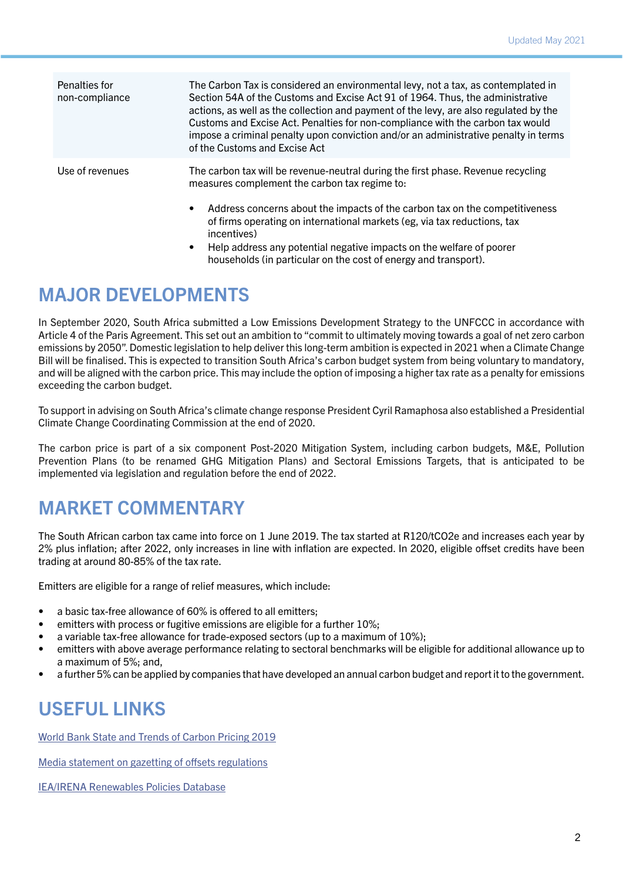| Penalties for<br>non-compliance | The Carbon Tax is considered an environmental levy, not a tax, as contemplated in<br>Section 54A of the Customs and Excise Act 91 of 1964. Thus, the administrative<br>actions, as well as the collection and payment of the levy, are also regulated by the<br>Customs and Excise Act. Penalties for non-compliance with the carbon tax would<br>impose a criminal penalty upon conviction and/or an administrative penalty in terms<br>of the Customs and Excise Act |
|---------------------------------|------------------------------------------------------------------------------------------------------------------------------------------------------------------------------------------------------------------------------------------------------------------------------------------------------------------------------------------------------------------------------------------------------------------------------------------------------------------------|
| Use of revenues                 | The carbon tax will be revenue-neutral during the first phase. Revenue recycling<br>measures complement the carbon tax regime to:                                                                                                                                                                                                                                                                                                                                      |
|                                 | Address concerns about the impacts of the carbon tax on the competitiveness<br>$\bullet$<br>of firms operating on international markets (eg, via tax reductions, tax<br>incentives)                                                                                                                                                                                                                                                                                    |
|                                 | Help address any potential negative impacts on the welfare of poorer<br>$\bullet$<br>households (in particular on the cost of energy and transport).                                                                                                                                                                                                                                                                                                                   |

#### MAJOR DEVELOPMENTS

In September 2020, South Africa submitted a Low Emissions Development Strategy to the UNFCCC in accordance with Article 4 of the Paris Agreement. This set out an ambition to "commit to ultimately moving towards a goal of net zero carbon emissions by 2050". Domestic legislation to help deliver this long-term ambition is expected in 2021 when a Climate Change Bill will be finalised. This is expected to transition South Africa's carbon budget system from being voluntary to mandatory, and will be aligned with the carbon price. This may include the option of imposing a higher tax rate as a penalty for emissions exceeding the carbon budget.

To support in advising on South Africa's climate change response President Cyril Ramaphosa also established a Presidential Climate Change Coordinating Commission at the end of 2020.

The carbon price is part of a six component Post-2020 Mitigation System, including carbon budgets, M&E, Pollution Prevention Plans (to be renamed GHG Mitigation Plans) and Sectoral Emissions Targets, that is anticipated to be implemented via legislation and regulation before the end of 2022.

## MARKET COMMENTARY

The South African carbon tax came into force on 1 June 2019. The tax started at R120/tCO2e and increases each year by 2% plus inflation; after 2022, only increases in line with inflation are expected. In 2020, eligible offset credits have been trading at around 80-85% of the tax rate.

Emitters are eligible for a range of relief measures, which include:

- a basic tax-free allowance of 60% is offered to all emitters:
- emitters with process or fugitive emissions are eligible for a further 10%;
- a variable tax-free allowance for trade-exposed sectors (up to a maximum of 10%);
- emitters with above average performance relating to sectoral benchmarks will be eligible for additional allowance up to a maximum of 5%; and,
- a further 5% can be applied by companies that have developed an annual carbon budget and report it to the government.

#### USEFUL LINKS

[World Bank State and Trends of Carbon Pricing 2019](https://openknowledge.worldbank.org/handle/10986/31755)

[Media statement on gazetting of offsets regulations](http://www.treasury.gov.za/comm_media/press/2019/20191202 Media statement - Carbon Tax Act Regulations.pdf)

[IEA/IRENA Renewables Policies Database](https://www.iea.org/policies/3041-south-african-carbon-tax)